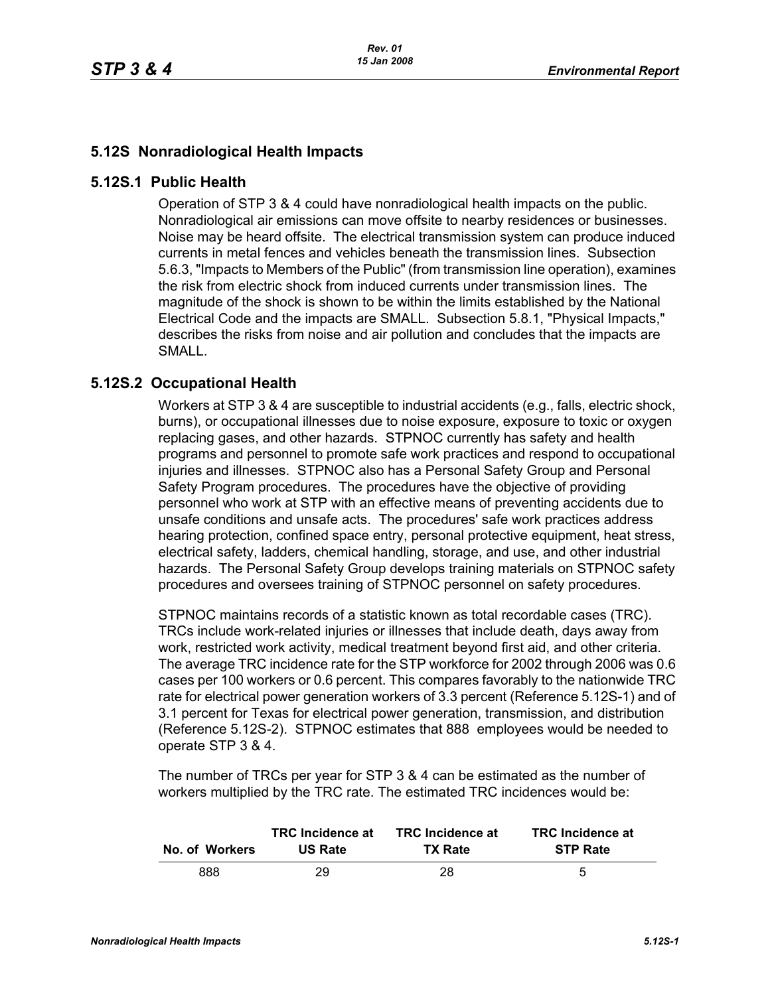## **5.12S Nonradiological Health Impacts**

## **5.12S.1 Public Health**

Operation of STP 3 & 4 could have nonradiological health impacts on the public. Nonradiological air emissions can move offsite to nearby residences or businesses. Noise may be heard offsite. The electrical transmission system can produce induced currents in metal fences and vehicles beneath the transmission lines. Subsection 5.6.3, "Impacts to Members of the Public" (from transmission line operation), examines the risk from electric shock from induced currents under transmission lines. The magnitude of the shock is shown to be within the limits established by the National Electrical Code and the impacts are SMALL. Subsection 5.8.1, "Physical Impacts," describes the risks from noise and air pollution and concludes that the impacts are SMALL.

## **5.12S.2 Occupational Health**

Workers at STP 3 & 4 are susceptible to industrial accidents (e.g., falls, electric shock, burns), or occupational illnesses due to noise exposure, exposure to toxic or oxygen replacing gases, and other hazards. STPNOC currently has safety and health programs and personnel to promote safe work practices and respond to occupational injuries and illnesses. STPNOC also has a Personal Safety Group and Personal Safety Program procedures. The procedures have the objective of providing personnel who work at STP with an effective means of preventing accidents due to unsafe conditions and unsafe acts. The procedures' safe work practices address hearing protection, confined space entry, personal protective equipment, heat stress, electrical safety, ladders, chemical handling, storage, and use, and other industrial hazards. The Personal Safety Group develops training materials on STPNOC safety procedures and oversees training of STPNOC personnel on safety procedures.

STPNOC maintains records of a statistic known as total recordable cases (TRC). TRCs include work-related injuries or illnesses that include death, days away from work, restricted work activity, medical treatment beyond first aid, and other criteria. The average TRC incidence rate for the STP workforce for 2002 through 2006 was 0.6 cases per 100 workers or 0.6 percent. This compares favorably to the nationwide TRC rate for electrical power generation workers of 3.3 percent (Reference 5.12S-1) and of 3.1 percent for Texas for electrical power generation, transmission, and distribution (Reference 5.12S-2). STPNOC estimates that 888 employees would be needed to operate STP 3 & 4.

The number of TRCs per year for STP 3 & 4 can be estimated as the number of workers multiplied by the TRC rate. The estimated TRC incidences would be:

| No. of Workers | <b>TRC</b> Incidence at | <b>TRC</b> Incidence at | <b>TRC</b> Incidence at |
|----------------|-------------------------|-------------------------|-------------------------|
|                | <b>US Rate</b>          | <b>TX Rate</b>          | <b>STP Rate</b>         |
| 888            | 29                      | 28.                     | 5                       |